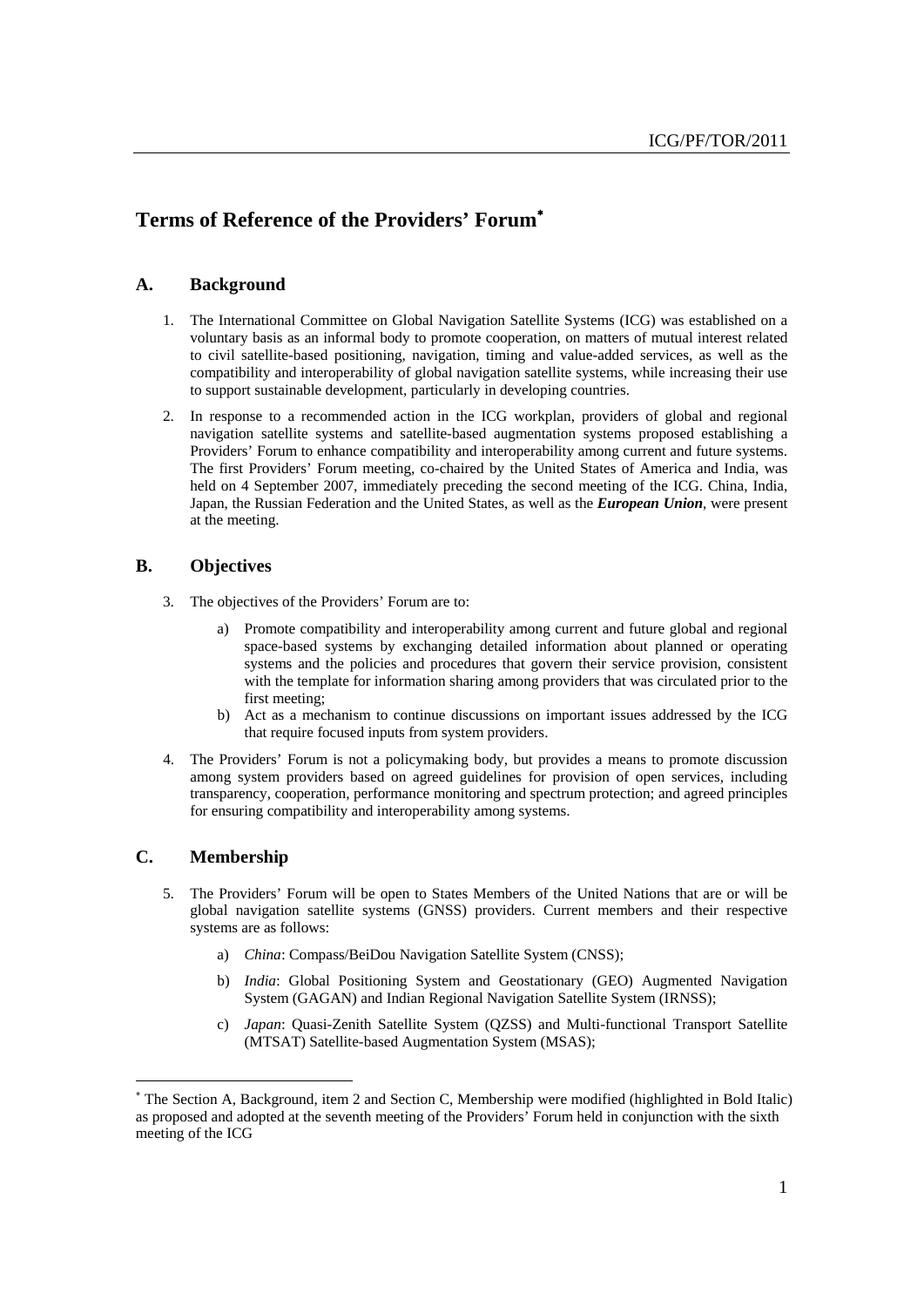# **Terms of Reference of the Providers' Forum**<sup>∗</sup>

#### **A. Background**

- 1. The International Committee on Global Navigation Satellite Systems (ICG) was established on a voluntary basis as an informal body to promote cooperation, on matters of mutual interest related to civil satellite-based positioning, navigation, timing and value-added services, as well as the compatibility and interoperability of global navigation satellite systems, while increasing their use to support sustainable development, particularly in developing countries.
- 2. In response to a recommended action in the ICG workplan, providers of global and regional navigation satellite systems and satellite-based augmentation systems proposed establishing a Providers' Forum to enhance compatibility and interoperability among current and future systems. The first Providers' Forum meeting, co-chaired by the United States of America and India, was held on 4 September 2007, immediately preceding the second meeting of the ICG. China, India, Japan, the Russian Federation and the United States, as well as the *European Union*, were present at the meeting.

## **B. Objectives**

- 3. The objectives of the Providers' Forum are to:
	- a) Promote compatibility and interoperability among current and future global and regional space-based systems by exchanging detailed information about planned or operating systems and the policies and procedures that govern their service provision, consistent with the template for information sharing among providers that was circulated prior to the first meeting;
	- b) Act as a mechanism to continue discussions on important issues addressed by the ICG that require focused inputs from system providers.
- 4. The Providers' Forum is not a policymaking body, but provides a means to promote discussion among system providers based on agreed guidelines for provision of open services, including transparency, cooperation, performance monitoring and spectrum protection; and agreed principles for ensuring compatibility and interoperability among systems.

## **C. Membership**

- 5. The Providers' Forum will be open to States Members of the United Nations that are or will be global navigation satellite systems (GNSS) providers. Current members and their respective systems are as follows:
	- a) *China*: Compass/BeiDou Navigation Satellite System (CNSS);
	- b) *India*: Global Positioning System and Geostationary (GEO) Augmented Navigation System (GAGAN) and Indian Regional Navigation Satellite System (IRNSS);
	- c) *Japan*: Quasi-Zenith Satellite System (QZSS) and Multi-functional Transport Satellite (MTSAT) Satellite-based Augmentation System (MSAS);

<sup>∗</sup> The Section A, Background, item 2 and Section C, Membership were modified (highlighted in Bold Italic) as proposed and adopted at the seventh meeting of the Providers' Forum held in conjunction with the sixth meeting of the ICG